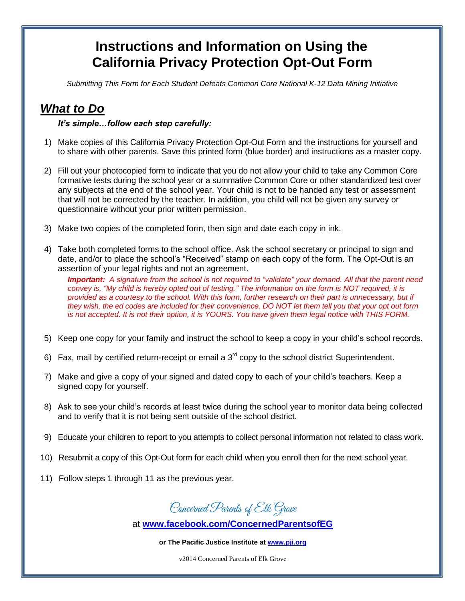## **Instructions and Information on Using the California Privacy Protection Opt-Out Form**

*Submitting This Form for Each Student Defeats Common Core National K-12 Data Mining Initiative*

## *What to Do*

## *It's simple…follow each step carefully:*

- 1) Make copies of this California Privacy Protection Opt-Out Form and the instructions for yourself and to share with other parents. Save this printed form (blue border) and instructions as a master copy.
- 2) Fill out your photocopied form to indicate that you do not allow your child to take any Common Core formative tests during the school year or a summative Common Core or other standardized test over any subjects at the end of the school year. Your child is not to be handed any test or assessment that will not be corrected by the teacher. In addition, you child will not be given any survey or questionnaire without your prior written permission.
- 3) Make two copies of the completed form, then sign and date each copy in ink.
- 4) Take both completed forms to the school office. Ask the school secretary or principal to sign and date, and/or to place the school's "Received" stamp on each copy of the form. The Opt-Out is an assertion of your legal rights and not an agreement.

*Important: A signature from the school is not required to "validate" your demand. All that the parent need convey is, "My child is hereby opted out of testing." The information on the form is NOT required, it is provided as a courtesy to the school. With this form, further research on their part is unnecessary, but if they wish, the ed codes are included for their convenience. DO NOT let them tell you that your opt out form is not accepted. It is not their option, it is YOURS. You have given them legal notice with THIS FORM.*

- 5) Keep one copy for your family and instruct the school to keep a copy in your child's school records.
- 6) Fax, mail by certified return-receipt or email a  $3<sup>rd</sup>$  copy to the school district Superintendent.
- 7) Make and give a copy of your signed and dated copy to each of your child's teachers. Keep a signed copy for yourself.
- 8) Ask to see your child's records at least twice during the school year to monitor data being collected and to verify that it is not being sent outside of the school district.
- 9) Educate your children to report to you attempts to collect personal information not related to class work.
- 10) Resubmit a copy of this Opt-Out form for each child when you enroll then for the next school year.
- 11) Follow steps 1 through 11 as the previous year.

Concerned Parents of Elk Grave

at **[www.facebook.com/ConcernedParentsofEG](http://www.facebook.com/ConcernedParentsofEG)**

**or The Pacific Justice Institute a[t www.pji.org](http://www.pji.org/)**

v2014 Concerned Parents of Elk Grove